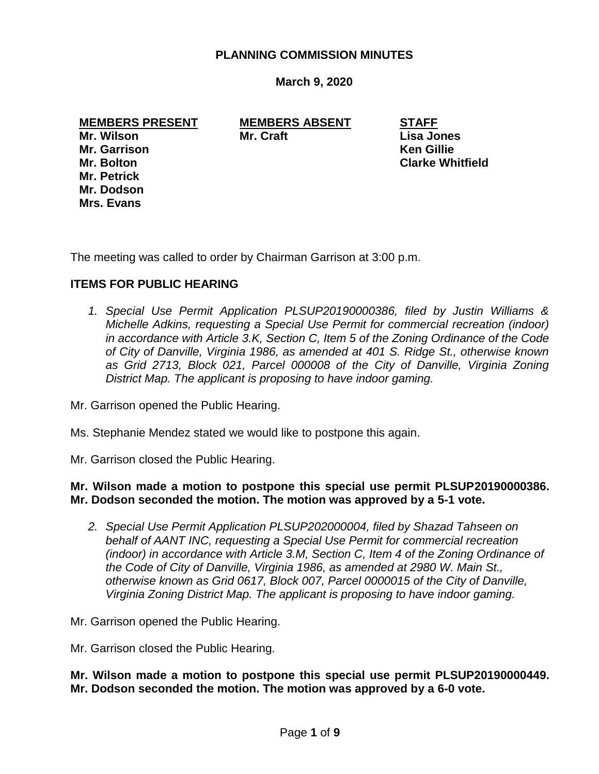### **PLANNING COMMISSION MINUTES**

**March 9, 2020**

**MEMBERS PRESENT MEMBERS ABSENT STAFF Mr. Wilson Mr. Craft Lisa Jones Mr. Garrison Ken Gillie Mr. Bolton Clarke Whitfield Mr. Petrick Mr. Dodson Mrs. Evans**

The meeting was called to order by Chairman Garrison at 3:00 p.m.

# **ITEMS FOR PUBLIC HEARING**

*1. Special Use Permit Application PLSUP20190000386, filed by Justin Williams & Michelle Adkins, requesting a Special Use Permit for commercial recreation (indoor) in accordance with Article 3.K, Section C, Item 5 of the Zoning Ordinance of the Code of City of Danville, Virginia 1986, as amended at 401 S. Ridge St., otherwise known as Grid 2713, Block 021, Parcel 000008 of the City of Danville, Virginia Zoning District Map. The applicant is proposing to have indoor gaming.*

Mr. Garrison opened the Public Hearing.

- Ms. Stephanie Mendez stated we would like to postpone this again.
- Mr. Garrison closed the Public Hearing.

# **Mr. Wilson made a motion to postpone this special use permit PLSUP20190000386. Mr. Dodson seconded the motion. The motion was approved by a 5-1 vote.**

*2. Special Use Permit Application PLSUP202000004, filed by Shazad Tahseen on behalf of AANT INC, requesting a Special Use Permit for commercial recreation (indoor) in accordance with Article 3.M, Section C, Item 4 of the Zoning Ordinance of the Code of City of Danville, Virginia 1986, as amended at 2980 W. Main St., otherwise known as Grid 0617, Block 007, Parcel 0000015 of the City of Danville, Virginia Zoning District Map. The applicant is proposing to have indoor gaming.*

Mr. Garrison opened the Public Hearing.

Mr. Garrison closed the Public Hearing.

**Mr. Wilson made a motion to postpone this special use permit PLSUP20190000449. Mr. Dodson seconded the motion. The motion was approved by a 6-0 vote.**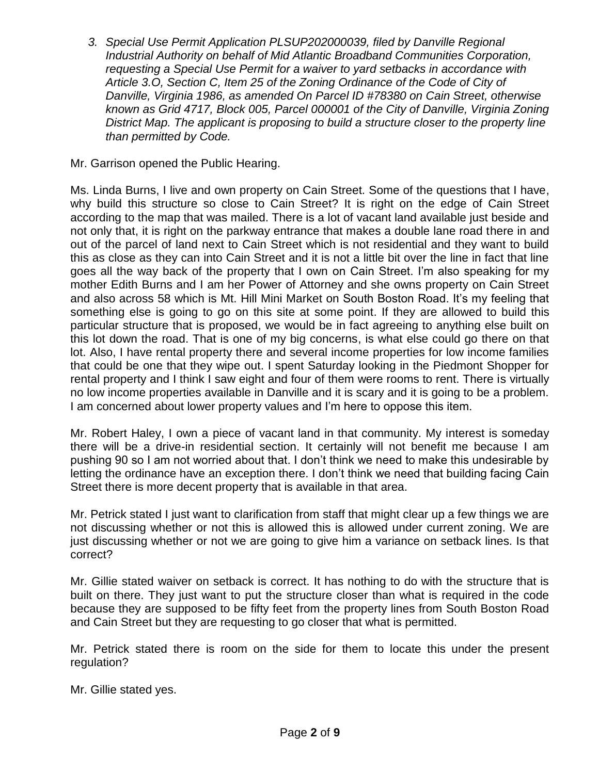3. *Special Use Permit Application PLSUP202000039, filed by Danville Regional Industrial Authority on behalf of Mid Atlantic Broadband Communities Corporation, requesting a Special Use Permit for a waiver to yard setbacks in accordance with Article 3.O, Section C, Item 25 of the Zoning Ordinance of the Code of City of Danville, Virginia 1986, as amended On Parcel ID #78380 on Cain Street, otherwise known as Grid 4717, Block 005, Parcel 000001 of the City of Danville, Virginia Zoning District Map. The applicant is proposing to build a structure closer to the property line than permitted by Code.*

Mr. Garrison opened the Public Hearing.

Ms. Linda Burns, I live and own property on Cain Street. Some of the questions that I have, why build this structure so close to Cain Street? It is right on the edge of Cain Street according to the map that was mailed. There is a lot of vacant land available just beside and not only that, it is right on the parkway entrance that makes a double lane road there in and out of the parcel of land next to Cain Street which is not residential and they want to build this as close as they can into Cain Street and it is not a little bit over the line in fact that line goes all the way back of the property that I own on Cain Street. I'm also speaking for my mother Edith Burns and I am her Power of Attorney and she owns property on Cain Street and also across 58 which is Mt. Hill Mini Market on South Boston Road. It's my feeling that something else is going to go on this site at some point. If they are allowed to build this particular structure that is proposed, we would be in fact agreeing to anything else built on this lot down the road. That is one of my big concerns, is what else could go there on that lot. Also, I have rental property there and several income properties for low income families that could be one that they wipe out. I spent Saturday looking in the Piedmont Shopper for rental property and I think I saw eight and four of them were rooms to rent. There is virtually no low income properties available in Danville and it is scary and it is going to be a problem. I am concerned about lower property values and I'm here to oppose this item.

Mr. Robert Haley, I own a piece of vacant land in that community. My interest is someday there will be a drive-in residential section. It certainly will not benefit me because I am pushing 90 so I am not worried about that. I don't think we need to make this undesirable by letting the ordinance have an exception there. I don't think we need that building facing Cain Street there is more decent property that is available in that area.

Mr. Petrick stated I just want to clarification from staff that might clear up a few things we are not discussing whether or not this is allowed this is allowed under current zoning. We are just discussing whether or not we are going to give him a variance on setback lines. Is that correct?

Mr. Gillie stated waiver on setback is correct. It has nothing to do with the structure that is built on there. They just want to put the structure closer than what is required in the code because they are supposed to be fifty feet from the property lines from South Boston Road and Cain Street but they are requesting to go closer that what is permitted.

Mr. Petrick stated there is room on the side for them to locate this under the present regulation?

Mr. Gillie stated yes.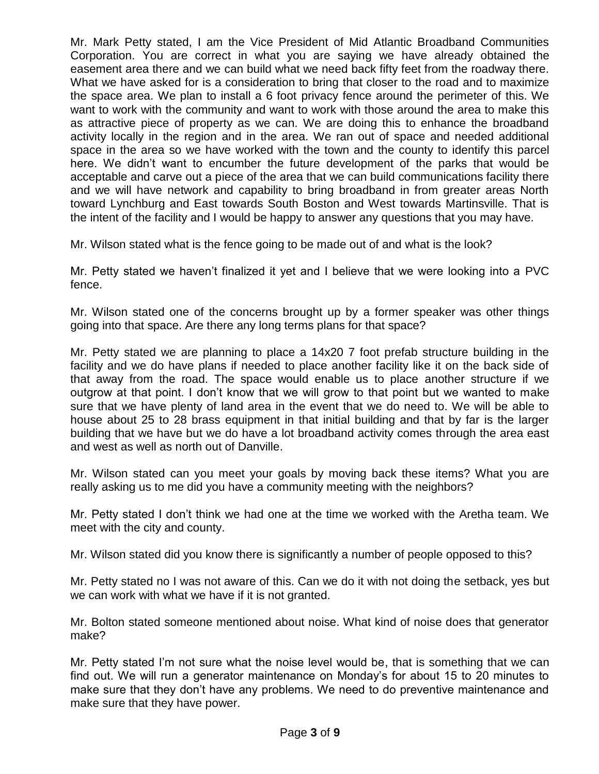Mr. Mark Petty stated, I am the Vice President of Mid Atlantic Broadband Communities Corporation. You are correct in what you are saying we have already obtained the easement area there and we can build what we need back fifty feet from the roadway there. What we have asked for is a consideration to bring that closer to the road and to maximize the space area. We plan to install a 6 foot privacy fence around the perimeter of this. We want to work with the community and want to work with those around the area to make this as attractive piece of property as we can. We are doing this to enhance the broadband activity locally in the region and in the area. We ran out of space and needed additional space in the area so we have worked with the town and the county to identify this parcel here. We didn't want to encumber the future development of the parks that would be acceptable and carve out a piece of the area that we can build communications facility there and we will have network and capability to bring broadband in from greater areas North toward Lynchburg and East towards South Boston and West towards Martinsville. That is the intent of the facility and I would be happy to answer any questions that you may have.

Mr. Wilson stated what is the fence going to be made out of and what is the look?

Mr. Petty stated we haven't finalized it yet and I believe that we were looking into a PVC fence.

Mr. Wilson stated one of the concerns brought up by a former speaker was other things going into that space. Are there any long terms plans for that space?

Mr. Petty stated we are planning to place a 14x20 7 foot prefab structure building in the facility and we do have plans if needed to place another facility like it on the back side of that away from the road. The space would enable us to place another structure if we outgrow at that point. I don't know that we will grow to that point but we wanted to make sure that we have plenty of land area in the event that we do need to. We will be able to house about 25 to 28 brass equipment in that initial building and that by far is the larger building that we have but we do have a lot broadband activity comes through the area east and west as well as north out of Danville.

Mr. Wilson stated can you meet your goals by moving back these items? What you are really asking us to me did you have a community meeting with the neighbors?

Mr. Petty stated I don't think we had one at the time we worked with the Aretha team. We meet with the city and county.

Mr. Wilson stated did you know there is significantly a number of people opposed to this?

Mr. Petty stated no I was not aware of this. Can we do it with not doing the setback, yes but we can work with what we have if it is not granted.

Mr. Bolton stated someone mentioned about noise. What kind of noise does that generator make?

Mr. Petty stated I'm not sure what the noise level would be, that is something that we can find out. We will run a generator maintenance on Monday's for about 15 to 20 minutes to make sure that they don't have any problems. We need to do preventive maintenance and make sure that they have power.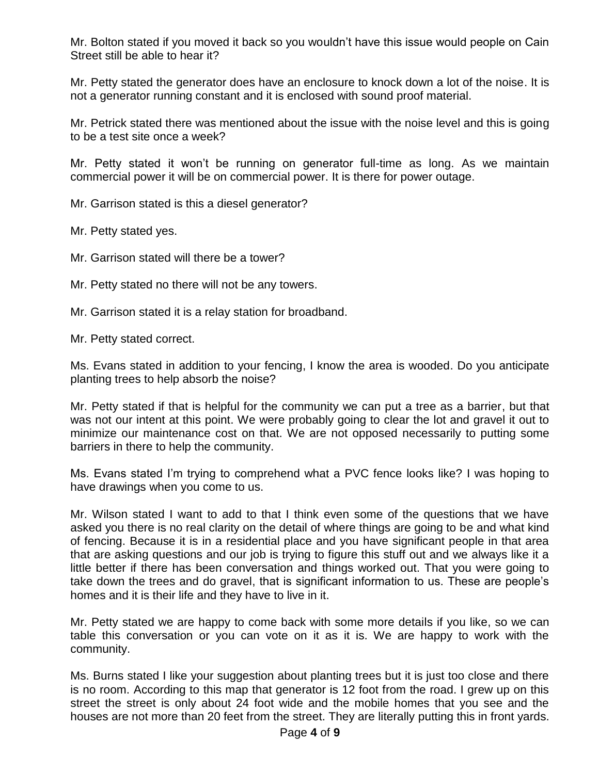Mr. Bolton stated if you moved it back so you wouldn't have this issue would people on Cain Street still be able to hear it?

Mr. Petty stated the generator does have an enclosure to knock down a lot of the noise. It is not a generator running constant and it is enclosed with sound proof material.

Mr. Petrick stated there was mentioned about the issue with the noise level and this is going to be a test site once a week?

Mr. Petty stated it won't be running on generator full-time as long. As we maintain commercial power it will be on commercial power. It is there for power outage.

Mr. Garrison stated is this a diesel generator?

Mr. Petty stated yes.

Mr. Garrison stated will there be a tower?

Mr. Petty stated no there will not be any towers.

Mr. Garrison stated it is a relay station for broadband.

Mr. Petty stated correct.

Ms. Evans stated in addition to your fencing, I know the area is wooded. Do you anticipate planting trees to help absorb the noise?

Mr. Petty stated if that is helpful for the community we can put a tree as a barrier, but that was not our intent at this point. We were probably going to clear the lot and gravel it out to minimize our maintenance cost on that. We are not opposed necessarily to putting some barriers in there to help the community.

Ms. Evans stated I'm trying to comprehend what a PVC fence looks like? I was hoping to have drawings when you come to us.

Mr. Wilson stated I want to add to that I think even some of the questions that we have asked you there is no real clarity on the detail of where things are going to be and what kind of fencing. Because it is in a residential place and you have significant people in that area that are asking questions and our job is trying to figure this stuff out and we always like it a little better if there has been conversation and things worked out. That you were going to take down the trees and do gravel, that is significant information to us. These are people's homes and it is their life and they have to live in it.

Mr. Petty stated we are happy to come back with some more details if you like, so we can table this conversation or you can vote on it as it is. We are happy to work with the community.

Ms. Burns stated I like your suggestion about planting trees but it is just too close and there is no room. According to this map that generator is 12 foot from the road. I grew up on this street the street is only about 24 foot wide and the mobile homes that you see and the houses are not more than 20 feet from the street. They are literally putting this in front yards.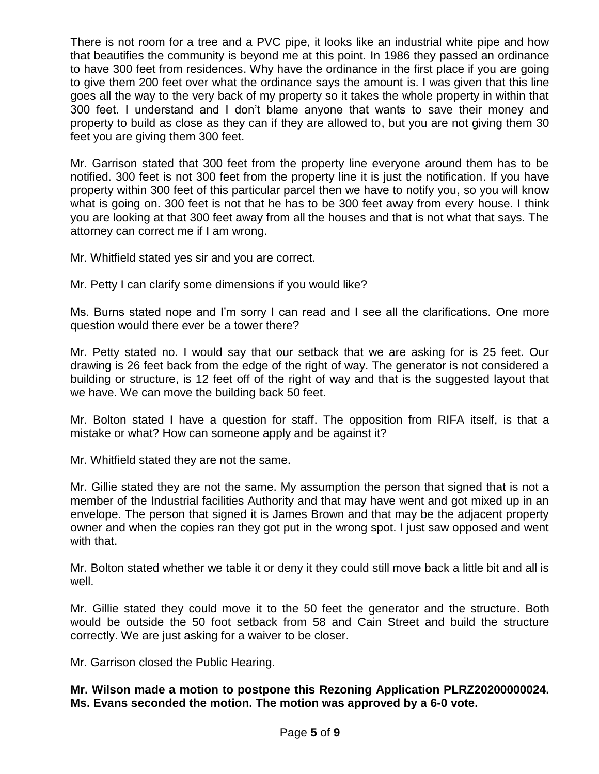There is not room for a tree and a PVC pipe, it looks like an industrial white pipe and how that beautifies the community is beyond me at this point. In 1986 they passed an ordinance to have 300 feet from residences. Why have the ordinance in the first place if you are going to give them 200 feet over what the ordinance says the amount is. I was given that this line goes all the way to the very back of my property so it takes the whole property in within that 300 feet. I understand and I don't blame anyone that wants to save their money and property to build as close as they can if they are allowed to, but you are not giving them 30 feet you are giving them 300 feet.

Mr. Garrison stated that 300 feet from the property line everyone around them has to be notified. 300 feet is not 300 feet from the property line it is just the notification. If you have property within 300 feet of this particular parcel then we have to notify you, so you will know what is going on. 300 feet is not that he has to be 300 feet away from every house. I think you are looking at that 300 feet away from all the houses and that is not what that says. The attorney can correct me if I am wrong.

Mr. Whitfield stated yes sir and you are correct.

Mr. Petty I can clarify some dimensions if you would like?

Ms. Burns stated nope and I'm sorry I can read and I see all the clarifications. One more question would there ever be a tower there?

Mr. Petty stated no. I would say that our setback that we are asking for is 25 feet. Our drawing is 26 feet back from the edge of the right of way. The generator is not considered a building or structure, is 12 feet off of the right of way and that is the suggested layout that we have. We can move the building back 50 feet.

Mr. Bolton stated I have a question for staff. The opposition from RIFA itself, is that a mistake or what? How can someone apply and be against it?

Mr. Whitfield stated they are not the same.

Mr. Gillie stated they are not the same. My assumption the person that signed that is not a member of the Industrial facilities Authority and that may have went and got mixed up in an envelope. The person that signed it is James Brown and that may be the adjacent property owner and when the copies ran they got put in the wrong spot. I just saw opposed and went with that.

Mr. Bolton stated whether we table it or deny it they could still move back a little bit and all is well.

Mr. Gillie stated they could move it to the 50 feet the generator and the structure. Both would be outside the 50 foot setback from 58 and Cain Street and build the structure correctly. We are just asking for a waiver to be closer.

Mr. Garrison closed the Public Hearing.

**Mr. Wilson made a motion to postpone this Rezoning Application PLRZ20200000024. Ms. Evans seconded the motion. The motion was approved by a 6-0 vote.**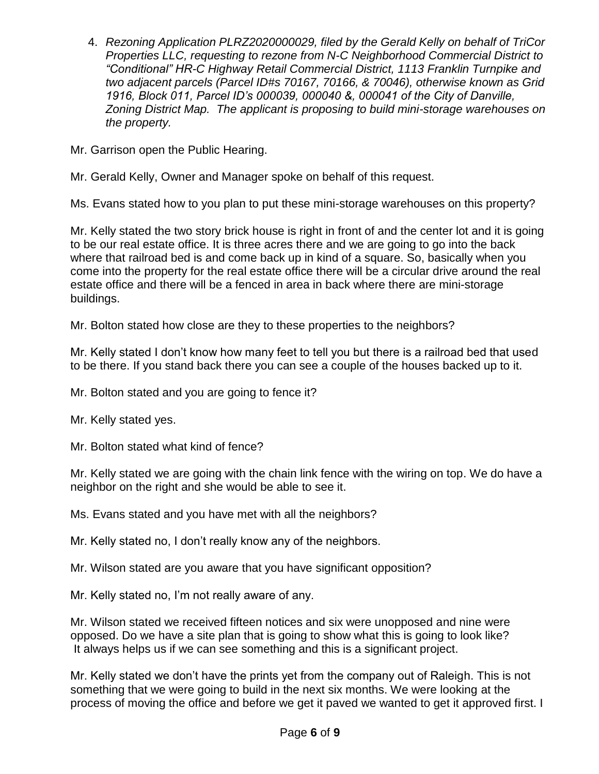4. *Rezoning Application PLRZ2020000029, filed by the Gerald Kelly on behalf of TriCor Properties LLC, requesting to rezone from N-C Neighborhood Commercial District to "Conditional" HR-C Highway Retail Commercial District, 1113 Franklin Turnpike and two adjacent parcels (Parcel ID#s 70167, 70166, & 70046), otherwise known as Grid 1916, Block 011, Parcel ID's 000039, 000040 &, 000041 of the City of Danville, Zoning District Map. The applicant is proposing to build mini-storage warehouses on the property.*

Mr. Garrison open the Public Hearing.

Mr. Gerald Kelly, Owner and Manager spoke on behalf of this request.

Ms. Evans stated how to you plan to put these mini-storage warehouses on this property?

Mr. Kelly stated the two story brick house is right in front of and the center lot and it is going to be our real estate office. It is three acres there and we are going to go into the back where that railroad bed is and come back up in kind of a square. So, basically when you come into the property for the real estate office there will be a circular drive around the real estate office and there will be a fenced in area in back where there are mini-storage buildings.

Mr. Bolton stated how close are they to these properties to the neighbors?

Mr. Kelly stated I don't know how many feet to tell you but there is a railroad bed that used to be there. If you stand back there you can see a couple of the houses backed up to it.

Mr. Bolton stated and you are going to fence it?

Mr. Kelly stated yes.

Mr. Bolton stated what kind of fence?

Mr. Kelly stated we are going with the chain link fence with the wiring on top. We do have a neighbor on the right and she would be able to see it.

Ms. Evans stated and you have met with all the neighbors?

Mr. Kelly stated no, I don't really know any of the neighbors.

Mr. Wilson stated are you aware that you have significant opposition?

Mr. Kelly stated no, I'm not really aware of any.

Mr. Wilson stated we received fifteen notices and six were unopposed and nine were opposed. Do we have a site plan that is going to show what this is going to look like? It always helps us if we can see something and this is a significant project.

Mr. Kelly stated we don't have the prints yet from the company out of Raleigh. This is not something that we were going to build in the next six months. We were looking at the process of moving the office and before we get it paved we wanted to get it approved first. I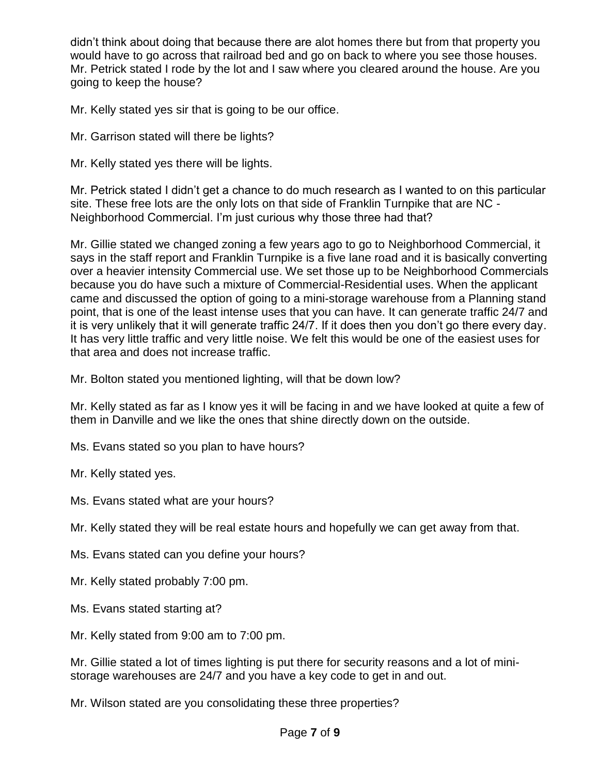didn't think about doing that because there are alot homes there but from that property you would have to go across that railroad bed and go on back to where you see those houses. Mr. Petrick stated I rode by the lot and I saw where you cleared around the house. Are you going to keep the house?

Mr. Kelly stated yes sir that is going to be our office.

Mr. Garrison stated will there be lights?

Mr. Kelly stated yes there will be lights.

Mr. Petrick stated I didn't get a chance to do much research as I wanted to on this particular site. These free lots are the only lots on that side of Franklin Turnpike that are NC - Neighborhood Commercial. I'm just curious why those three had that?

Mr. Gillie stated we changed zoning a few years ago to go to Neighborhood Commercial, it says in the staff report and Franklin Turnpike is a five lane road and it is basically converting over a heavier intensity Commercial use. We set those up to be Neighborhood Commercials because you do have such a mixture of Commercial-Residential uses. When the applicant came and discussed the option of going to a mini-storage warehouse from a Planning stand point, that is one of the least intense uses that you can have. It can generate traffic 24/7 and it is very unlikely that it will generate traffic 24/7. If it does then you don't go there every day. It has very little traffic and very little noise. We felt this would be one of the easiest uses for that area and does not increase traffic.

Mr. Bolton stated you mentioned lighting, will that be down low?

Mr. Kelly stated as far as I know yes it will be facing in and we have looked at quite a few of them in Danville and we like the ones that shine directly down on the outside.

Ms. Evans stated so you plan to have hours?

Mr. Kelly stated yes.

Ms. Evans stated what are your hours?

Mr. Kelly stated they will be real estate hours and hopefully we can get away from that.

Ms. Evans stated can you define your hours?

Mr. Kelly stated probably 7:00 pm.

Ms. Evans stated starting at?

Mr. Kelly stated from 9:00 am to 7:00 pm.

Mr. Gillie stated a lot of times lighting is put there for security reasons and a lot of ministorage warehouses are 24/7 and you have a key code to get in and out.

Mr. Wilson stated are you consolidating these three properties?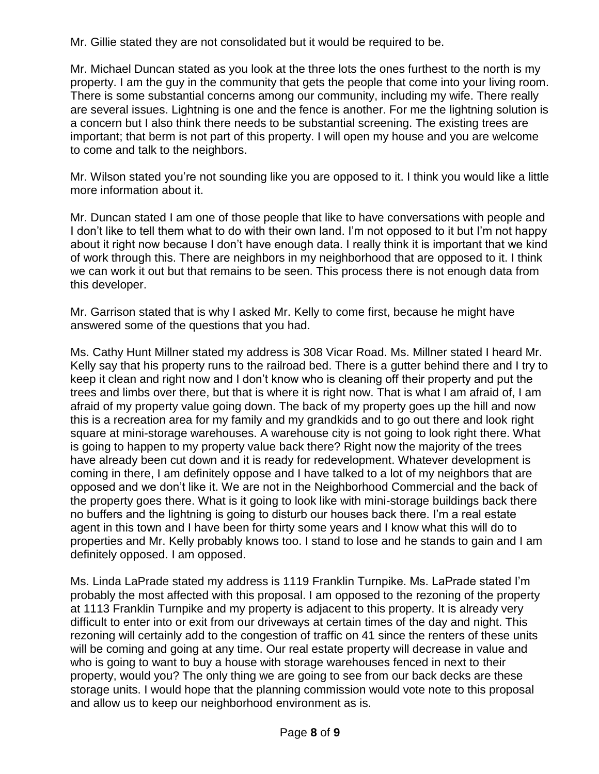Mr. Gillie stated they are not consolidated but it would be required to be.

Mr. Michael Duncan stated as you look at the three lots the ones furthest to the north is my property. I am the guy in the community that gets the people that come into your living room. There is some substantial concerns among our community, including my wife. There really are several issues. Lightning is one and the fence is another. For me the lightning solution is a concern but I also think there needs to be substantial screening. The existing trees are important; that berm is not part of this property. I will open my house and you are welcome to come and talk to the neighbors.

Mr. Wilson stated you're not sounding like you are opposed to it. I think you would like a little more information about it.

Mr. Duncan stated I am one of those people that like to have conversations with people and I don't like to tell them what to do with their own land. I'm not opposed to it but I'm not happy about it right now because I don't have enough data. I really think it is important that we kind of work through this. There are neighbors in my neighborhood that are opposed to it. I think we can work it out but that remains to be seen. This process there is not enough data from this developer.

Mr. Garrison stated that is why I asked Mr. Kelly to come first, because he might have answered some of the questions that you had.

Ms. Cathy Hunt Millner stated my address is 308 Vicar Road. Ms. Millner stated I heard Mr. Kelly say that his property runs to the railroad bed. There is a gutter behind there and I try to keep it clean and right now and I don't know who is cleaning off their property and put the trees and limbs over there, but that is where it is right now. That is what I am afraid of, I am afraid of my property value going down. The back of my property goes up the hill and now this is a recreation area for my family and my grandkids and to go out there and look right square at mini-storage warehouses. A warehouse city is not going to look right there. What is going to happen to my property value back there? Right now the majority of the trees have already been cut down and it is ready for redevelopment. Whatever development is coming in there, I am definitely oppose and I have talked to a lot of my neighbors that are opposed and we don't like it. We are not in the Neighborhood Commercial and the back of the property goes there. What is it going to look like with mini-storage buildings back there no buffers and the lightning is going to disturb our houses back there. I'm a real estate agent in this town and I have been for thirty some years and I know what this will do to properties and Mr. Kelly probably knows too. I stand to lose and he stands to gain and I am definitely opposed. I am opposed.

Ms. Linda LaPrade stated my address is 1119 Franklin Turnpike. Ms. LaPrade stated I'm probably the most affected with this proposal. I am opposed to the rezoning of the property at 1113 Franklin Turnpike and my property is adjacent to this property. It is already very difficult to enter into or exit from our driveways at certain times of the day and night. This rezoning will certainly add to the congestion of traffic on 41 since the renters of these units will be coming and going at any time. Our real estate property will decrease in value and who is going to want to buy a house with storage warehouses fenced in next to their property, would you? The only thing we are going to see from our back decks are these storage units. I would hope that the planning commission would vote note to this proposal and allow us to keep our neighborhood environment as is.